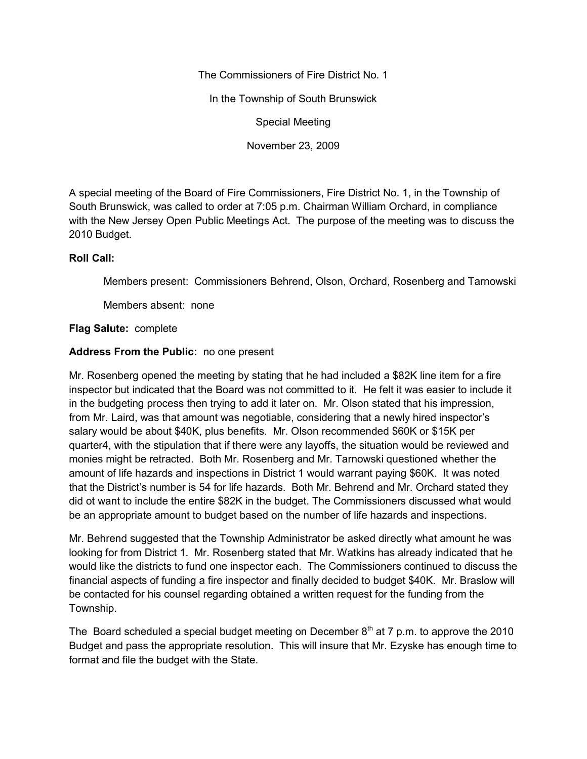The Commissioners of Fire District No. 1

In the Township of South Brunswick

Special Meeting

November 23, 2009

A special meeting of the Board of Fire Commissioners, Fire District No. 1, in the Township of South Brunswick, was called to order at 7:05 p.m. Chairman William Orchard, in compliance with the New Jersey Open Public Meetings Act. The purpose of the meeting was to discuss the 2010 Budget.

## **Roll Call:**

Members present: Commissioners Behrend, Olson, Orchard, Rosenberg and Tarnowski

Members absent: none

## **Flag Salute:** complete

## **Address From the Public:** no one present

Mr. Rosenberg opened the meeting by stating that he had included a \$82K line item for a fire inspector but indicated that the Board was not committed to it. He felt it was easier to include it in the budgeting process then trying to add it later on. Mr. Olson stated that his impression, from Mr. Laird, was that amount was negotiable, considering that a newly hired inspector's salary would be about \$40K, plus benefits. Mr. Olson recommended \$60K or \$15K per quarter4, with the stipulation that if there were any layoffs, the situation would be reviewed and monies might be retracted. Both Mr. Rosenberg and Mr. Tarnowski questioned whether the amount of life hazards and inspections in District 1 would warrant paying \$60K. It was noted that the District's number is 54 for life hazards. Both Mr. Behrend and Mr. Orchard stated they did ot want to include the entire \$82K in the budget. The Commissioners discussed what would be an appropriate amount to budget based on the number of life hazards and inspections.

Mr. Behrend suggested that the Township Administrator be asked directly what amount he was looking for from District 1. Mr. Rosenberg stated that Mr. Watkins has already indicated that he would like the districts to fund one inspector each. The Commissioners continued to discuss the financial aspects of funding a fire inspector and finally decided to budget \$40K. Mr. Braslow will be contacted for his counsel regarding obtained a written request for the funding from the Township.

The Board scheduled a special budget meeting on December  $8<sup>th</sup>$  at 7 p.m. to approve the 2010 Budget and pass the appropriate resolution. This will insure that Mr. Ezyske has enough time to format and file the budget with the State.